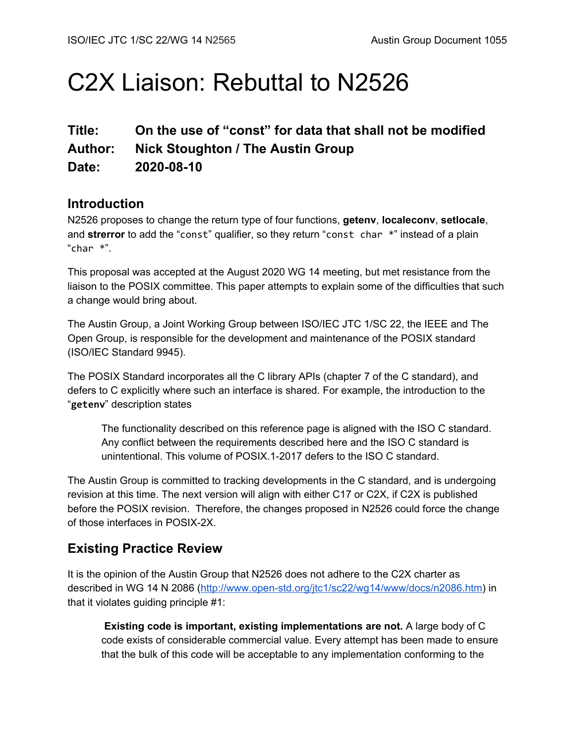# C2X Liaison: Rebuttal to N2526

# **Title: On the use of "const" for data that shall not be modified Author: Nick Stoughton / The Austin Group Date: 2020-08-10**

### **Introduction**

N2526 proposes to change the return type of four functions, **getenv**, **localeconv**, **setlocale**, and **strerror** to add the "const" qualifier, so they return "const char \*" instead of a plain " $char$  \*".

This proposal was accepted at the August 2020 WG 14 meeting, but met resistance from the liaison to the POSIX committee. This paper attempts to explain some of the difficulties that such a change would bring about.

The Austin Group, a Joint Working Group between ISO/IEC JTC 1/SC 22, the IEEE and The Open Group, is responsible for the development and maintenance of the POSIX standard (ISO/IEC Standard 9945).

The POSIX Standard incorporates all the C library APIs (chapter 7 of the C standard), and defers to C explicitly where such an interface is shared. For example, the introduction to the "**getenv**" description states

The functionality described on this reference page is aligned with the ISO C standard. Any conflict between the requirements described here and the ISO C standard is unintentional. This volume of POSIX.1-2017 defers to the ISO C standard.

The Austin Group is committed to tracking developments in the C standard, and is undergoing revision at this time. The next version will align with either C17 or C2X, if C2X is published before the POSIX revision. Therefore, the changes proposed in N2526 could force the change of those interfaces in POSIX-2X.

# **Existing Practice Review**

It is the opinion of the Austin Group that N2526 does not adhere to the C2X charter as described in WG 14 N 2086 ([http://www.open-std.org/jtc1/sc22/wg14/www/docs/n2086.htm\)](http://www.open-std.org/jtc1/sc22/wg14/www/docs/n2086.htm) in that it violates guiding principle #1:

**Existing code is important, existing implementations are not.** A large body of C code exists of considerable commercial value. Every attempt has been made to ensure that the bulk of this code will be acceptable to any implementation conforming to the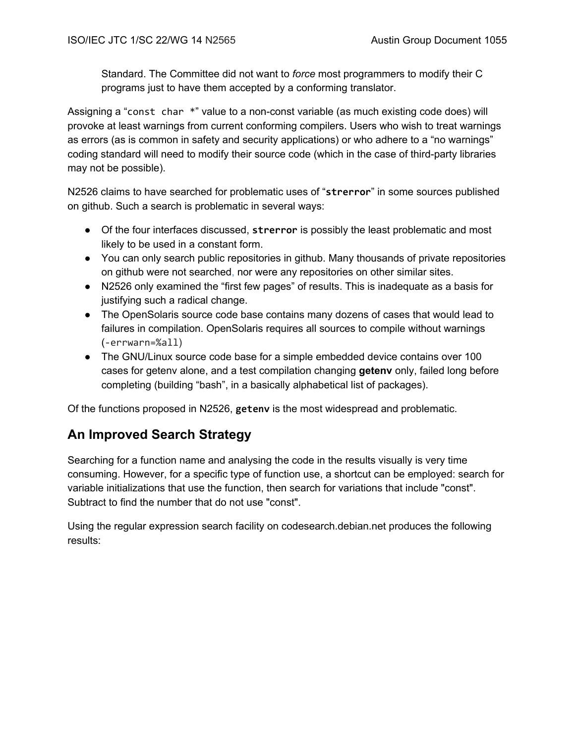Standard. The Committee did not want to *force* most programmers to modify their C programs just to have them accepted by a conforming translator.

Assigning a "const char \*" value to a non-const variable (as much existing code does) will provoke at least warnings from current conforming compilers. Users who wish to treat warnings as errors (as is common in safety and security applications) or who adhere to a "no warnings" coding standard will need to modify their source code (which in the case of third-party libraries may not be possible).

N2526 claims to have searched for problematic uses of "**strerror**" in some sources published on github. Such a search is problematic in several ways:

- Of the four interfaces discussed, **strerror** is possibly the least problematic and most likely to be used in a constant form.
- You can only search public repositories in github. Many thousands of private repositories on github were not searched, nor were any repositories on other similar sites.
- N2526 only examined the "first few pages" of results. This is inadequate as a basis for justifying such a radical change.
- The OpenSolaris source code base contains many dozens of cases that would lead to failures in compilation. OpenSolaris requires all sources to compile without warnings (-errwarn=%all)
- The GNU/Linux source code base for a simple embedded device contains over 100 cases for getenv alone, and a test compilation changing **getenv** only, failed long before completing (building "bash", in a basically alphabetical list of packages).

Of the functions proposed in N2526, **getenv** is the most widespread and problematic.

# **An Improved Search Strategy**

Searching for a function name and analysing the code in the results visually is very time consuming. However, for a specific type of function use, a shortcut can be employed: search for variable initializations that use the function, then search for variations that include "const". Subtract to find the number that do not use "const".

Using the regular expression search facility on codesearch.debian.net produces the following results: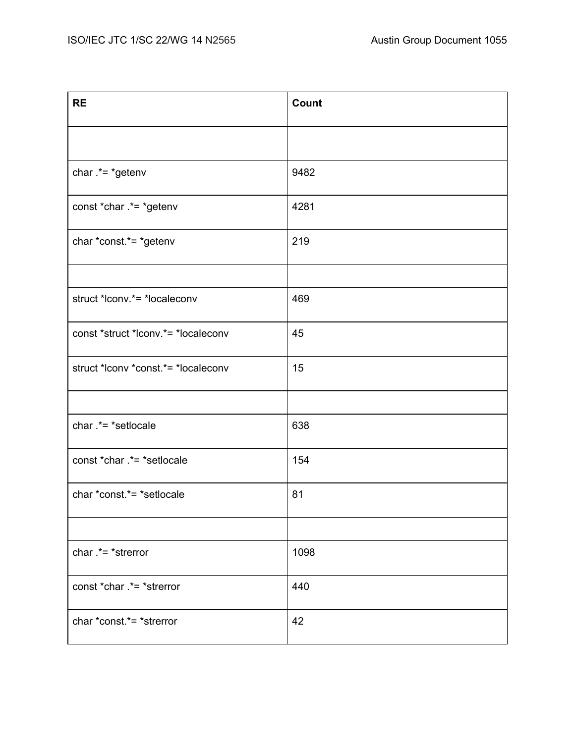| <b>RE</b>                           | Count |
|-------------------------------------|-------|
|                                     |       |
| char $.*= *getenv$                  | 9482  |
| const *char .*= *getenv             | 4281  |
| char *const.*= *getenv              | 219   |
|                                     |       |
| struct *lconv.*= *localeconv        | 469   |
| const *struct *lconv.*= *localeconv | 45    |
| struct *lconv *const.*= *localeconv | 15    |
|                                     |       |
| char .*= *setlocale                 | 638   |
| const *char .*= *setlocale          | 154   |
| char *const.*= *setlocale           | 81    |
|                                     |       |
| char $.*= *$ strerror               | 1098  |
| const *char .*= *strerror           | 440   |
| char *const.*= *strerror            | 42    |
|                                     |       |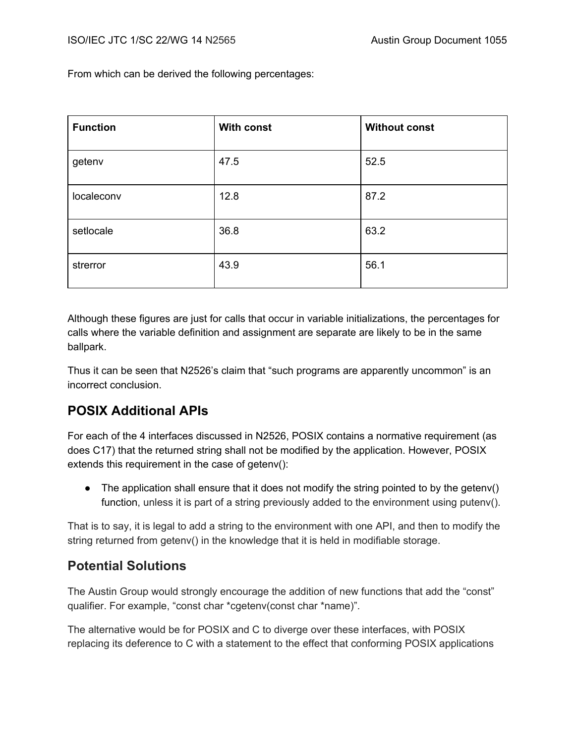From which can be derived the following percentages:

| <b>Function</b> | <b>With const</b> | <b>Without const</b> |
|-----------------|-------------------|----------------------|
| getenv          | 47.5              | 52.5                 |
| localeconv      | 12.8              | 87.2                 |
| setlocale       | 36.8              | 63.2                 |
| strerror        | 43.9              | 56.1                 |

Although these figures are just for calls that occur in variable initializations, the percentages for calls where the variable definition and assignment are separate are likely to be in the same ballpark.

Thus it can be seen that N2526's claim that "such programs are apparently uncommon" is an incorrect conclusion.

## **POSIX Additional APIs**

For each of the 4 interfaces discussed in N2526, POSIX contains a normative requirement (as does C17) that the returned string shall not be modified by the application. However, POSIX extends this requirement in the case of getenv():

 $\bullet$  The application shall ensure that it does not modify the string pointed to by the getenv() function, unless it is part of a string previously added to the environment using putenv().

That is to say, it is legal to add a string to the environment with one API, and then to modify the string returned from getenv() in the knowledge that it is held in modifiable storage.

# **Potential Solutions**

The Austin Group would strongly encourage the addition of new functions that add the "const" qualifier. For example, "const char \*cgetenv(const char \*name)".

The alternative would be for POSIX and C to diverge over these interfaces, with POSIX replacing its deference to C with a statement to the effect that conforming POSIX applications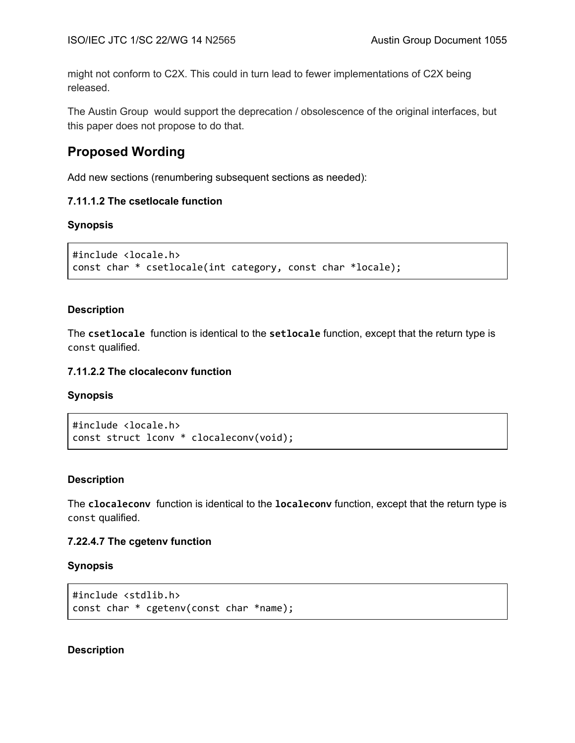might not conform to C2X. This could in turn lead to fewer implementations of C2X being released.

The Austin Group would support the deprecation / obsolescence of the original interfaces, but this paper does not propose to do that.

## **Proposed Wording**

Add new sections (renumbering subsequent sections as needed):

#### **7.11.1.2 The csetlocale function**

#### **Synopsis**

```
#include <locale.h>
const char * csetlocale(int category, const char *locale);
```
#### **Description**

The **csetlocale** function is identical to the **setlocale** function, except that the return type is const qualified.

#### **7.11.2.2 The clocaleconv function**

#### **Synopsis**

```
#include <locale.h>
const struct lconv * clocaleconv(void);
```
#### **Description**

The **clocaleconv** function is identical to the **localeconv** function, except that the return type is const qualified.

#### **7.22.4.7 The cgetenv function**

#### **Synopsis**

```
#include <stdlib.h>
const char * cgetenv(const char *name);
```
#### **Description**